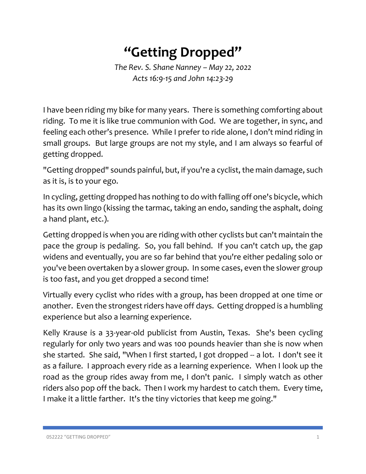## **"Getting Dropped"**

*The Rev. S. Shane Nanney – May 22, 2022 Acts 16:9-15 and John 14:23-29*

I have been riding my bike for many years. There is something comforting about riding. To me it is like true communion with God. We are together, in sync, and feeling each other's presence. While I prefer to ride alone, I don't mind riding in small groups. But large groups are not my style, and I am always so fearful of getting dropped.

"Getting dropped" sounds painful, but, if you're a cyclist, the main damage, such as it is, is to your ego.

In cycling, getting dropped has nothing to do with falling off one's bicycle, which has its own lingo (kissing the tarmac, taking an endo, sanding the asphalt, doing a hand plant, etc.).

Getting dropped is when you are riding with other cyclists but can't maintain the pace the group is pedaling. So, you fall behind. If you can't catch up, the gap widens and eventually, you are so far behind that you're either pedaling solo or you've been overtaken by a slower group. In some cases, even the slower group is too fast, and you get dropped a second time!

Virtually every cyclist who rides with a group, has been dropped at one time or another. Even the strongest riders have off days. Getting dropped is a humbling experience but also a learning experience.

Kelly Krause is a 33-year-old publicist from Austin, Texas. She's been cycling regularly for only two years and was 100 pounds heavier than she is now when she started. She said, "When I first started, I got dropped -- a lot. I don't see it as a failure. I approach every ride as a learning experience. When I look up the road as the group rides away from me, I don't panic. I simply watch as other riders also pop off the back. Then I work my hardest to catch them. Every time, I make it a little farther. It's the tiny victories that keep me going."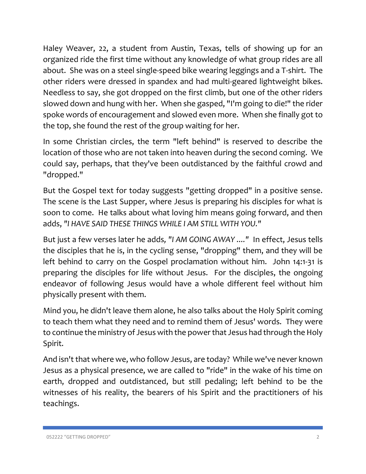Haley Weaver, 22, a student from Austin, Texas, tells of showing up for an organized ride the first time without any knowledge of what group rides are all about. She was on a steel single-speed bike wearing leggings and a T-shirt. The other riders were dressed in spandex and had multi-geared lightweight bikes. Needless to say, she got dropped on the first climb, but one of the other riders slowed down and hung with her. When she gasped, "I'm going to die!" the rider spoke words of encouragement and slowed even more. When she finally got to the top, she found the rest of the group waiting for her.

In some Christian circles, the term "left behind" is reserved to describe the location of those who are not taken into heaven during the second coming. We could say, perhaps, that they've been outdistanced by the faithful crowd and "dropped."

But the Gospel text for today suggests "getting dropped" in a positive sense. The scene is the Last Supper, where Jesus is preparing his disciples for what is soon to come. He talks about what loving him means going forward, and then adds, *"I HAVE SAID THESE THINGS WHILE I AM STILL WITH YOU."*

But just a few verses later he adds*, "I AM GOING AWAY ...."* In effect, Jesus tells the disciples that he is, in the cycling sense, "dropping" them, and they will be left behind to carry on the Gospel proclamation without him. John 14:1-31 is preparing the disciples for life without Jesus. For the disciples, the ongoing endeavor of following Jesus would have a whole different feel without him physically present with them.

Mind you, he didn't leave them alone, he also talks about the Holy Spirit coming to teach them what they need and to remind them of Jesus' words. They were to continue the ministry of Jesus with the power that Jesus had through the Holy Spirit.

And isn't that where we, who follow Jesus, are today? While we've never known Jesus as a physical presence, we are called to "ride" in the wake of his time on earth, dropped and outdistanced, but still pedaling; left behind to be the witnesses of his reality, the bearers of his Spirit and the practitioners of his teachings.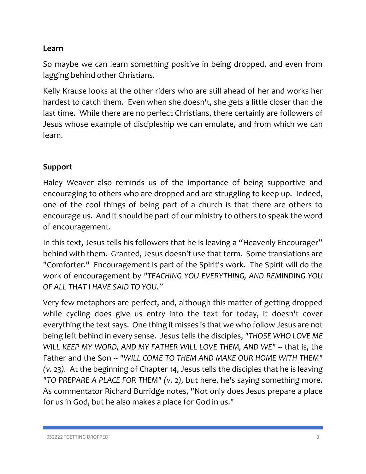## **Learn**

So maybe we can learn something positive in being dropped, and even from lagging behind other Christians.

Kelly Krause looks at the other riders who are still ahead of her and works her hardest to catch them. Even when she doesn't, she gets a little closer than the last time. While there are no perfect Christians, there certainly are followers of Jesus whose example of discipleship we can emulate, and from which we can learn.

## **Support**

Haley Weaver also reminds us of the importance of being supportive and encouraging to others who are dropped and are struggling to keep up. Indeed, one of the cool things of being part of a church is that there are others to encourage us. And it should be part of our ministry to others to speak the word of encouragement.

In this text, Jesus tells his followers that he is leaving a "Heavenly Encourager" behind with them. Granted, Jesus doesn't use that term. Some translations are "Comforter." Encouragement is part of the Spirit's work. The Spirit will do the work of encouragement by *"TEACHING YOU EVERYTHING, AND REMINDING YOU OF ALL THAT I HAVE SAID TO YOU."*

Very few metaphors are perfect, and, although this matter of getting dropped while cycling does give us entry into the text for today, it doesn't cover everything the text says. One thing it misses is that we who follow Jesus are not being left behind in every sense. Jesus tells the disciples, *"THOSE WHO LOVE ME WILL KEEP MY WORD, AND MY FATHER WILL LOVE THEM, AND WE" --* that is, the Father and the Son -- *"WILL COME TO THEM AND MAKE OUR HOME WITH THEM" (v. 23).* At the beginning of Chapter 14, Jesus tells the disciples that he is leaving *"TO PREPARE A PLACE FOR THEM" (v. 2),* but here, he's saying something more. As commentator Richard Burridge notes, "Not only does Jesus prepare a place for us in God, but he also makes a place for God in us."